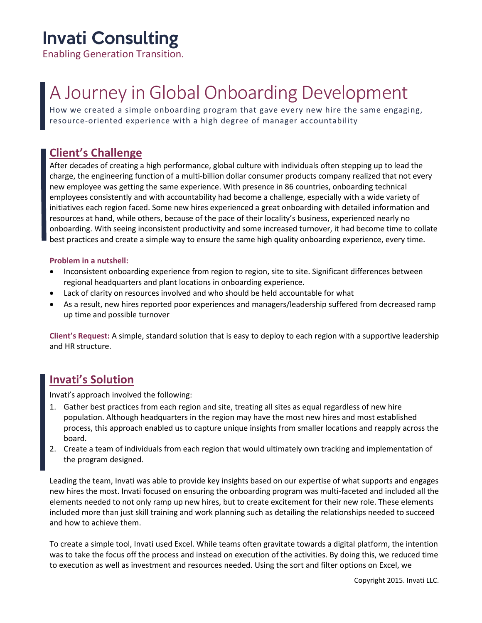# Invati Consulting

Enabling Generation Transition.

# A Journey in Global Onboarding Development

How we created a simple onboarding program that gave every new hire the same engaging, resource-oriented experience with a high degree of manager accountability

### **Client's Challenge**

After decades of creating a high performance, global culture with individuals often stepping up to lead the charge, the engineering function of a multi-billion dollar consumer products company realized that not every new employee was getting the same experience. With presence in 86 countries, onboarding technical employees consistently and with accountability had become a challenge, especially with a wide variety of initiatives each region faced. Some new hires experienced a great onboarding with detailed information and resources at hand, while others, because of the pace of their locality's business, experienced nearly no onboarding. With seeing inconsistent productivity and some increased turnover, it had become time to collate best practices and create a simple way to ensure the same high quality onboarding experience, every time.

#### **Problem in a nutshell:**

- Inconsistent onboarding experience from region to region, site to site. Significant differences between regional headquarters and plant locations in onboarding experience.
- Lack of clarity on resources involved and who should be held accountable for what
- As a result, new hires reported poor experiences and managers/leadership suffered from decreased ramp up time and possible turnover

**Client's Request:** A simple, standard solution that is easy to deploy to each region with a supportive leadership and HR structure.

## **Invati's Solution**

Invati's approach involved the following:

- 1. Gather best practices from each region and site, treating all sites as equal regardless of new hire population. Although headquarters in the region may have the most new hires and most established process, this approach enabled us to capture unique insights from smaller locations and reapply across the board.
- 2. Create a team of individuals from each region that would ultimately own tracking and implementation of the program designed.

Leading the team, Invati was able to provide key insights based on our expertise of what supports and engages new hires the most. Invati focused on ensuring the onboarding program was multi-faceted and included all the elements needed to not only ramp up new hires, but to create excitement for their new role. These elements included more than just skill training and work planning such as detailing the relationships needed to succeed and how to achieve them.

To create a simple tool, Invati used Excel. While teams often gravitate towards a digital platform, the intention was to take the focus off the process and instead on execution of the activities. By doing this, we reduced time to execution as well as investment and resources needed. Using the sort and filter options on Excel, we